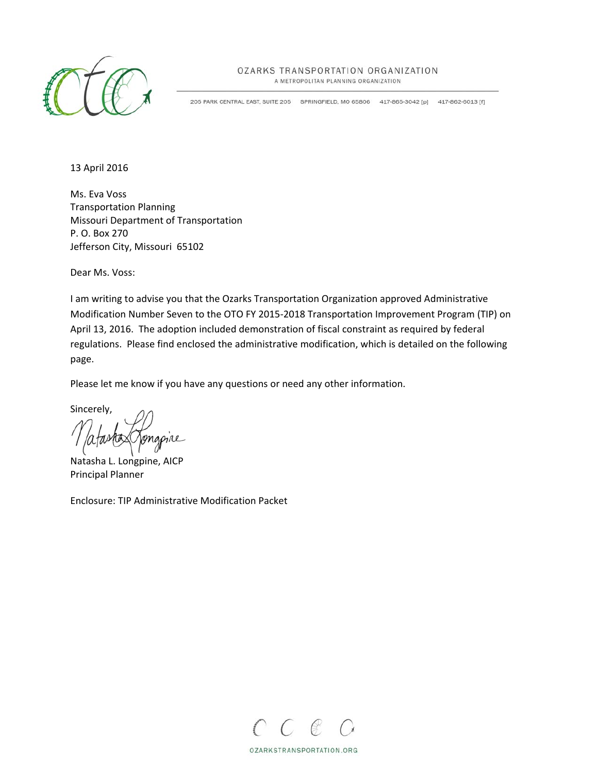

## OZARKS TRANSPORTATION ORGANIZATION

A METROPOLITAN PLANNING ORGANIZATION

205 PARK CENTRAL EAST, SUITE 205 SPRINGFIELD, MO 65806 417-865-3042 [p] 417-862-6013 [f]

13 April 2016

Ms. Eva Voss Transportation Planning Missouri Department of Transportation P. O. Box 270 Jefferson City, Missouri 65102

Dear Ms. Voss:

I am writing to advise you that the Ozarks Transportation Organization approved Administrative Modification Number Seven to the OTO FY 2015‐2018 Transportation Improvement Program (TIP) on April 13, 2016. The adoption included demonstration of fiscal constraint as required by federal regulations. Please find enclosed the administrative modification, which is detailed on the following page.

Please let me know if you have any questions or need any other information.

Sincerely,

Natasha L. Longpine, AICP Principal Planner

Enclosure: TIP Administrative Modification Packet



OZARKSTRANSPORTATION.ORG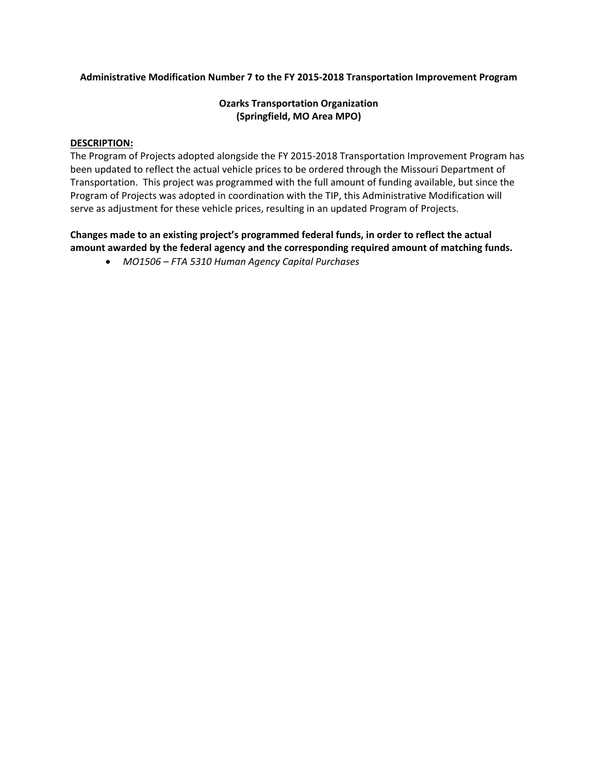### **Administrative Modification Number 7 to the FY 2015‐2018 Transportation Improvement Program**

# **Ozarks Transportation Organization (Springfield, MO Area MPO)**

#### **DESCRIPTION:**

The Program of Projects adopted alongside the FY 2015‐2018 Transportation Improvement Program has been updated to reflect the actual vehicle prices to be ordered through the Missouri Department of Transportation. This project was programmed with the full amount of funding available, but since the Program of Projects was adopted in coordination with the TIP, this Administrative Modification will serve as adjustment for these vehicle prices, resulting in an updated Program of Projects.

# **Changes made to an existing project's programmed federal funds, in order to reflect the actual amount awarded by the federal agency and the corresponding required amount of matching funds.**

*MO1506 – FTA 5310 Human Agency Capital Purchases*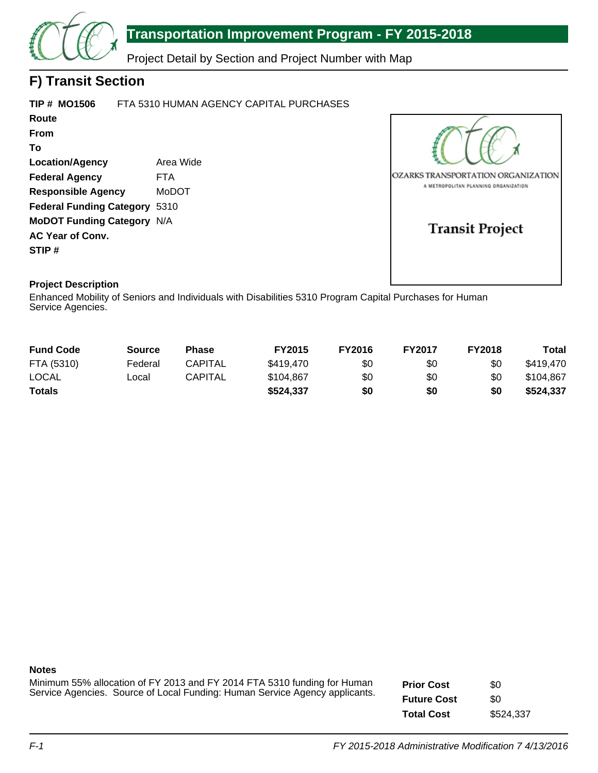

# **Transportation Improvement Program - FY 2015-2018**

Project Detail by Section and Project Number with Map

# **F) Transit Section**

| TIP # MO1506                         | FTA 5310 HUMAN AGENCY CAPITAL PURCHASES |
|--------------------------------------|-----------------------------------------|
| Route                                |                                         |
| From                                 |                                         |
| То                                   |                                         |
| <b>Location/Agency</b>               | Area Wide                               |
| <b>Federal Agency</b>                | <b>FTA</b>                              |
| <b>Responsible Agency</b>            | MoDOT                                   |
| <b>Federal Funding Category 5310</b> |                                         |
| <b>MoDOT Funding Category N/A</b>    |                                         |
| <b>AC Year of Conv.</b>              |                                         |
| STIP#                                |                                         |
|                                      |                                         |



# **Project Description**

Enhanced Mobility of Seniors and Individuals with Disabilities 5310 Program Capital Purchases for Human Service Agencies.

| <b>Fund Code</b> | <b>Source</b> | Phase          | <b>FY2015</b> | <b>FY2016</b> | <b>FY2017</b> | <b>FY2018</b> | Total     |
|------------------|---------------|----------------|---------------|---------------|---------------|---------------|-----------|
| FTA (5310)       | Federal       | <b>CAPITAL</b> | \$419.470     | \$0           | \$0           | \$0           | \$419.470 |
| <b>LOCAL</b>     | Local         | CAPITAL        | \$104.867     | \$0           | \$0           | \$0           | \$104.867 |
| <b>Totals</b>    |               |                | \$524,337     | \$0           | \$0           | \$0           | \$524,337 |

#### **Notes**

Minimum 55% allocation of FY 2013 and FY 2014 FTA 5310 funding for Human Service Agencies. Source of Local Funding: Human Service Agency applicants. **Prior Cost Future Cost Total Cost** \$0 \$0 \$524,337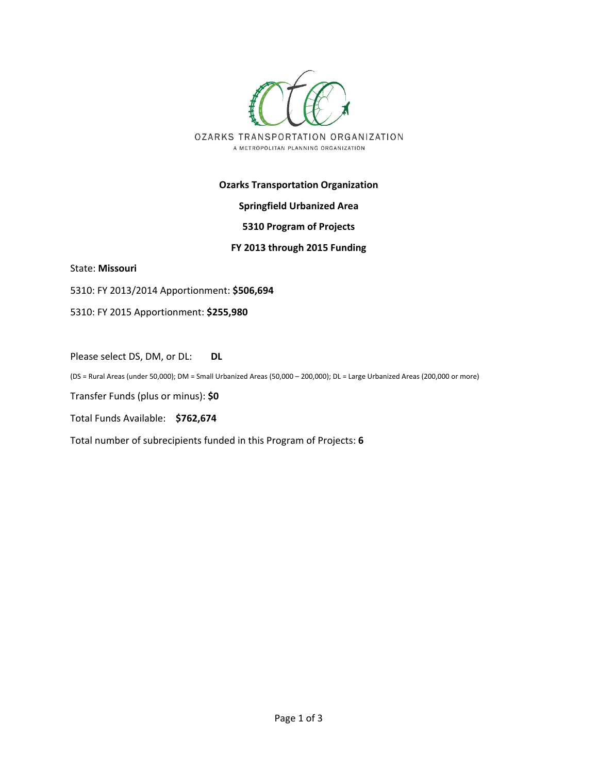

# **Ozarks Transportation Organization**

# **Springfield Urbanized Area**

### **5310 Program of Projects**

### **FY 2013 through 2015 Funding**

State: **Missouri** 

5310: FY 2013/2014 Apportionment: **\$506,694**

5310: FY 2015 Apportionment: **\$255,980**

Please select DS, DM, or DL: **DL**

(DS = Rural Areas (under 50,000); DM = Small Urbanized Areas (50,000 – 200,000); DL = Large Urbanized Areas (200,000 or more)

Transfer Funds (plus or minus): **\$0**

Total Funds Available: **\$762,674**

Total number of subrecipients funded in this Program of Projects: **6**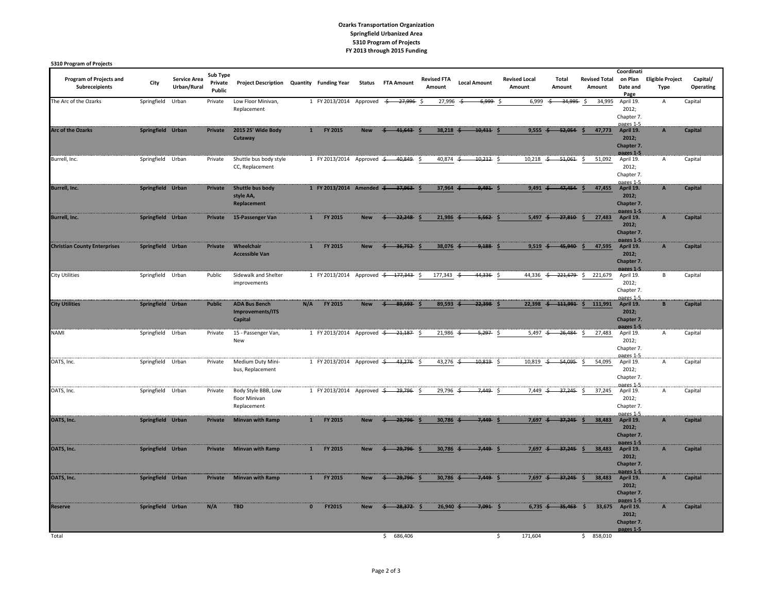#### **Ozarks Transportation Organization Springfield Urbanized Area 5310 Program of Projects FY 2013 through 2015 Funding**

| 5310 Program of Projects                  |                   |                                    |                               |                                                     |              |                                                  |            |                           |                              |               |                     |                                |                          |                                |                                               |                                        |                       |
|-------------------------------------------|-------------------|------------------------------------|-------------------------------|-----------------------------------------------------|--------------|--------------------------------------------------|------------|---------------------------|------------------------------|---------------|---------------------|--------------------------------|--------------------------|--------------------------------|-----------------------------------------------|----------------------------------------|-----------------------|
| Program of Projects and<br>Subreceipients | City              | <b>Service Area</b><br>Urban/Rural | Sub Type<br>Private<br>Public | Project Description Quantity Funding Year           |              |                                                  |            | <b>Status FTA Amount</b>  | <b>Revised FTA</b><br>Amount |               | <b>Local Amount</b> | <b>Revised Local</b><br>Amount | Total<br>Amount          | <b>Revised Total</b><br>Amount | Coordinati<br>on Plan<br>Date and<br>Page     | <b>Eligible Project</b><br><b>Type</b> | Capital/<br>Operating |
| The Arc of the Ozarks                     | Springfield       | Urban                              | Private                       | Low Floor Minivan,<br>Replacement                   |              | 1 FY 2013/2014                                   | Approved   | $-27,996$ \$<br>\$        |                              | 27,996        | 6,999 \$<br>- 5     | 6,999                          | $-34,995$ \$<br>-5       | 34,995                         | April 19.<br>2012;<br>Chapter 7.<br>nages 1-5 | A                                      | Capital               |
| <b>Arc of the Ozarks</b>                  | Springfield Urban |                                    | Private                       | 2015 25' Wide Body<br>Cutaway                       | $\mathbf{1}$ | FY 2015                                          | <b>New</b> | 41.643                    |                              | $38.218 \div$ | 10.411              | $9.555 - $$                    | 52.054                   | 47,773                         | April 19.<br>2012;<br>Chapter 7.<br>pages 1-5 | $\overline{A}$                         | Capital               |
| Burrell, Inc.                             | Springfield Urban |                                    | Private                       | Shuttle bus body style<br>CC, Replacement           |              | 1 FY 2013/2014 Approved $\frac{2}{3}$            |            | $-40,849$ \$              |                              | 40,874 $\div$ | 10,212 \$           | 10,218                         | $-51,061$ \$<br>-\$      | 51,092                         | April 19.<br>2012;<br>Chapter 7.<br>nages 1-5 | A                                      | Capital               |
| <b>Burrell, Inc.</b>                      | Springfield Urban |                                    | Private                       | <b>Shuttle bus body</b><br>style AA,<br>Replacement |              | 1 FY 2013/2014 Amended <del>\$ 37,963</del> \$   |            |                           |                              | 37,964        | 9.491               | $9,491 \div$<br>Š              | 47.454                   | 47,455                         | April 19.<br>2012;<br>Chapter 7.<br>pages 1-5 | $\overline{A}$                         | Capital               |
| <b>Burrell, Inc.</b>                      | Springfield Urban |                                    | Private                       | 15-Passenger Van                                    | $\mathbf{1}$ | FY 2015                                          | <b>New</b> | $-22,248$<br>$\leftarrow$ | $\ddot{\phantom{1}}$         | $21,986 \div$ | $-5,562$ \$         | 5,497 $\div$                   | $27,810$ \$              | 27,483                         | April 19.<br>2012;<br>Chapter 7.<br>pages 1-5 | $\, {\bf A}$                           | Capital               |
| <b>Christian County Enterprises</b>       | Springfield Urban |                                    | Private                       | Wheelchair<br><b>Accessible Van</b>                 | 1            | FY 2015                                          | <b>New</b> | $\frac{2}{5}$ 36,752 \$   |                              | 38,076 \$     | $9,188$ \$          | $9,519$ $\div$                 | 45.940                   | 47,595<br>-S                   | April 19.<br>2012;<br>Chapter 7.<br>pages 1-5 | $\overline{A}$                         | Capital               |
| <b>City Utilities</b>                     | Springfield Urban |                                    | Public                        | Sidewalk and Shelter<br>improvements                |              | 1 FY 2013/2014 Approved <del>\$ 177,343</del> \$ |            |                           |                              | 177,343       | 44,336 \$<br>-\$    |                                | 44,336 $\div$ 221,679 \$ | 221,679                        | April 19.<br>2012;<br>Chapter 7.<br>pages 1-5 | B                                      | Capital               |
| <b>City Utilities</b>                     | Springfield Urban |                                    | <b>Public</b>                 | <b>ADA Bus Bench</b><br>Improvements/ITS<br>Capital | N/A          | FY 2015                                          | <b>New</b> | 89,593<br>4               | Š                            | 89,593 \$     | $-22,398$ \$        |                                | 22,398 $\div$ 111,991 \$ | 111,991                        | April 19.<br>2012:<br>Chapter 7.<br>pages 1-5 | $\, {\bf B} \,$                        | Capital               |
| <b>NAMI</b>                               | Springfield Urban |                                    | Private                       | 15 - Passenger Van,<br>New                          |              | 1 FY 2013/2014 Approved <del>\$ 21,187</del> \$  |            |                           |                              | $21,986$ ÷    | $-5,297$ \$         | 5,497 $\div$                   | $-26,484$ \$             | 27,483                         | April 19.<br>2012;<br>Chapter 7.<br>pages 1-5 | $\mathsf A$                            | Capital               |
| OATS, Inc.                                | Springfield Urban |                                    | Private                       | Medium Duty Mini-<br>bus, Replacement               |              | 1 FY 2013/2014 Approved <del>\$ 43,276</del> \$  |            |                           |                              | 43,276 $\div$ | $-10,819$ \$        | $10,819$ $\div$                | $-54,095$ \$             | 54,095                         | April 19.<br>2012;<br>Chapter 7.<br>pages 1-5 | A                                      | Capital               |
| OATS, Inc.                                | Springfield Urban |                                    | Private                       | Body Style BBB, Low<br>floor Minivan<br>Replacement |              | 1 FY 2013/2014 Approved <del>\$ 29,796</del> \$  |            |                           |                              | 29,796        | $7,449$ \$          | 7,449 $\div$                   | $-37,245$ \$             | 37,245                         | April 19.<br>2012;<br>Chapter 7.<br>pages 1-5 | A                                      | Capital               |
| OATS, Inc.                                | Springfield Urban |                                    | Private                       | <b>Minvan with Ramp</b>                             | 1            | FY 2015                                          | <b>New</b> | 29,796                    | S                            | $30,786 \div$ | $7,449$ \$          | $7,697$ $\div$                 | $37,245$ \$              | 38,483                         | April 19.<br>2012;<br>Chapter 7.<br>pages 1-5 | $\boldsymbol{\mathsf{A}}$              | Capital               |
| OATS, Inc.                                | Springfield Urban |                                    | Private                       | <b>Minvan with Ramp</b>                             | 1            | FY 2015                                          | <b>New</b> | 29.796<br>-4              | Š                            | 30,786        | $7,449$ \$          | $7,697$ $\div$                 | $37.245$ \$              | 38,483                         | April 19.<br>2012;<br>Chapter 7.<br>pages 1-5 | $\mathbf{A}$                           | Capital               |
| OATS, Inc.                                | Springfield Urban |                                    | Private                       | <b>Minvan with Ramp</b>                             | $\mathbf{1}$ | FY 2015                                          | <b>New</b> | 29.796                    | $\ddot{\phantom{1}}$         | 30,786        | $7.449 -$           | $7,697$ $\div$<br>Š            | $37,245$ \$              | 38,483                         | April 19.<br>2012;<br>Chapter 7.<br>pages 1-5 | $\overline{A}$                         | Capital               |
| <b>Reserve</b>                            | Springfield Urban |                                    | N/A                           | <b>TBD</b>                                          | $\mathbf{0}$ | FY2015                                           | <b>New</b> | 28.372                    |                              | $26,940 \div$ | 7,091               | $6,735 \div$<br><b>S</b>       | 35.463                   | 33,675<br>- \$                 | April 19.<br>2012;<br>Chapter 7.<br>pages 1-5 | $\overline{A}$                         | Capital               |
| Total                                     |                   |                                    |                               |                                                     |              |                                                  |            | 686,406<br>Ŝ.             |                              |               |                     | 171,604<br>Ŝ.                  |                          | 858,010<br>\$                  |                                               |                                        |                       |